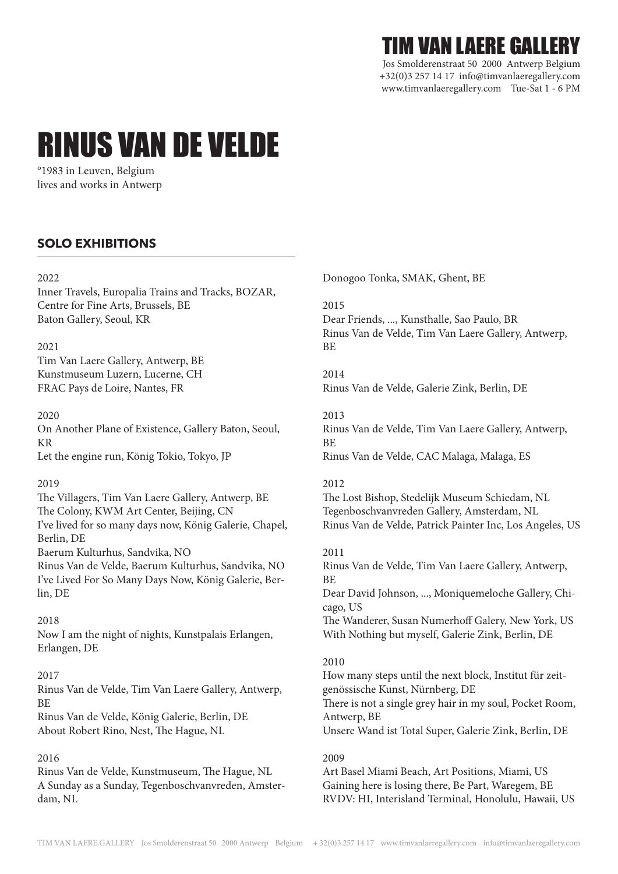## TIM VAN LAERE GALLERY

Jos Smolderenstraat 50 2000 Antwerp Belgium +32(0)3 257 14 17 info@timvanlaeregallery.com www.timvanlaeregallery.com Tue-Sat 1 - 6 PM

# RINUS VAN DE VELDE

°1983 in Leuven, Belgium lives and works in Antwerp

## **SOLO EXHIBITIONS**

## $2022$

Inner Travels, Europalia Trains and Tracks, BOZAR, Centre for Fine Arts, Brussels, BE Baton Gallery, Seoul, KR

## 2021

Tim Van Laere Gallery, Antwerp, BE Kunstmuseum Luzern, Lucerne, CH FRAC Pays de Loire, Nantes, FR

## 2020

On Another Plane of Existence, Gallery Baton, Seoul, KR Let the engine run, König Tokio, Tokyo, JP

## 2019

The Villagers, Tim Van Laere Gallery, Antwerp, BE The Colony, KWM Art Center, Beijing, CN I've lived for so many days now, König Galerie, Chapel, Berlin, DE Baerum Kulturhus, Sandvika, NO Rinus Van de Velde, Baerum Kulturhus, Sandvika, NO I've Lived For So Many Days Now, König Galerie, Berlin, DE

## 2018

Now I am the night of nights, Kunstpalais Erlangen, Erlangen, DE

## 2017

Rinus Van de Velde, Tim Van Laere Gallery, Antwerp, **RF** 

Rinus Van de Velde, König Galerie, Berlin, DE About Robert Rino, Nest, The Hague, NL

## 2016

Rinus Van de Velde, Kunstmuseum, The Hague, NL A Sunday as a Sunday, Tegenboschvanvreden, Amsterdam, NL

Donogoo Tonka, SMAK, Ghent, BE

## 2015

Dear Friends, ..., Kunsthalle, Sao Paulo, BR Rinus Van de Velde, Tim Van Laere Gallery, Antwerp, BE

## 2014

Rinus Van de Velde, Galerie Zink, Berlin, DE

## 2013

Rinus Van de Velde, Tim Van Laere Gallery, Antwerp, BE Rinus Van de Velde, CAC Malaga, Malaga, ES

## 2012

The Lost Bishop, Stedelijk Museum Schiedam, NL Tegenboschvanvreden Gallery, Amsterdam, NL Rinus Van de Velde, Patrick Painter Inc, Los Angeles, US

## 2011

Rinus Van de Velde, Tim Van Laere Gallery, Antwerp, BE Dear David Johnson, ..., Moniquemeloche Gallery, Chicago, US The Wanderer, Susan Numerhoff Galery, New York, US With Nothing but myself, Galerie Zink, Berlin, DE

## 2010

How many steps until the next block, Institut für zeitgenössische Kunst, Nürnberg, DE There is not a single grey hair in my soul, Pocket Room, Antwerp, BE Unsere Wand ist Total Super, Galerie Zink, Berlin, DE

## 2009

Art Basel Miami Beach, Art Positions, Miami, US Gaining here is losing there, Be Part, Waregem, BE RVDV: HI, Interisland Terminal, Honolulu, Hawaii, US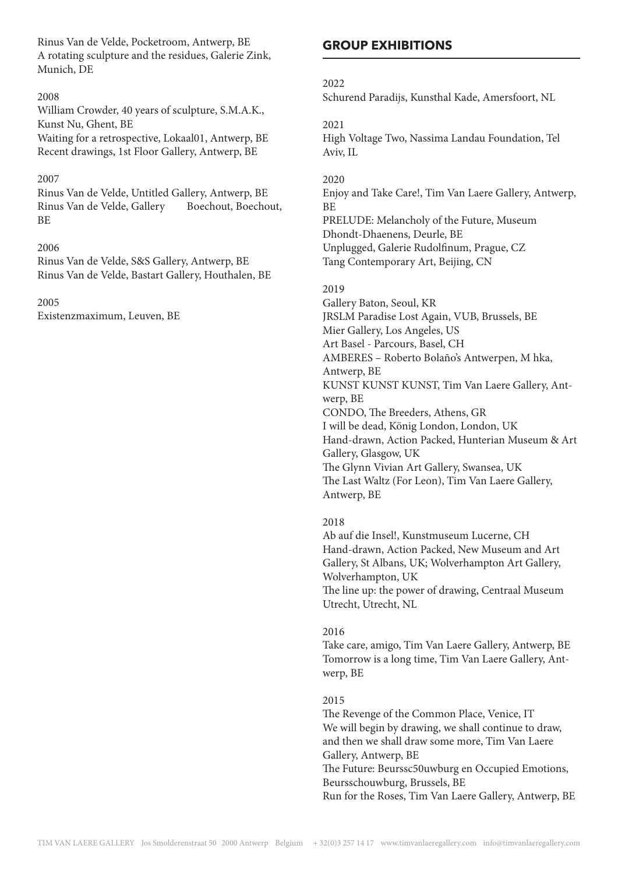Rinus Van de Velde, Pocketroom, Antwerp, BE A rotating sculpture and the residues, Galerie Zink, Munich, DE

#### 2008

William Crowder, 40 years of sculpture, S.M.A.K., Kunst Nu, Ghent, BE

Waiting for a retrospective, Lokaal01, Antwerp, BE Recent drawings, 1st Floor Gallery, Antwerp, BE

#### 2007

Rinus Van de Velde, Untitled Gallery, Antwerp, BE Rinus Van de Velde, Gallery Boechout, Boechout, BE

#### 2006

Rinus Van de Velde, S&S Gallery, Antwerp, BE Rinus Van de Velde, Bastart Gallery, Houthalen, BE

#### 2005

Existenzmaximum, Leuven, BE

## **GROUP EXHIBITIONS**

#### 2022

Schurend Paradijs, Kunsthal Kade, Amersfoort, NL

#### 2021

High Voltage Two, Nassima Landau Foundation, Tel Aviv, IL

#### 2020

Enjoy and Take Care!, Tim Van Laere Gallery, Antwerp, BE PRELUDE: Melancholy of the Future, Museum Dhondt-Dhaenens, Deurle, BE Unplugged, Galerie Rudolfinum, Prague, CZ Tang Contemporary Art, Beijing, CN

#### 2019

Gallery Baton, Seoul, KR JRSLM Paradise Lost Again, VUB, Brussels, BE Mier Gallery, Los Angeles, US Art Basel - Parcours, Basel, CH AMBERES – Roberto Bolaño's Antwerpen, M hka, Antwerp, BE KUNST KUNST KUNST, Tim Van Laere Gallery, Antwerp, BE CONDO, The Breeders, Athens, GR I will be dead, König London, London, UK Hand-drawn, Action Packed, Hunterian Museum & Art Gallery, Glasgow, UK The Glynn Vivian Art Gallery, Swansea, UK The Last Waltz (For Leon), Tim Van Laere Gallery, Antwerp, BE

#### 2018

Ab auf die Insel!, Kunstmuseum Lucerne, CH Hand-drawn, Action Packed, New Museum and Art Gallery, St Albans, UK; Wolverhampton Art Gallery, Wolverhampton, UK The line up: the power of drawing, Centraal Museum Utrecht, Utrecht, NL

#### 2016

Take care, amigo, Tim Van Laere Gallery, Antwerp, BE Tomorrow is a long time, Tim Van Laere Gallery, Antwerp, BE

#### 2015

The Revenge of the Common Place, Venice, IT We will begin by drawing, we shall continue to draw, and then we shall draw some more, Tim Van Laere Gallery, Antwerp, BE The Future: Beurssc50uwburg en Occupied Emotions, Beursschouwburg, Brussels, BE

Run for the Roses, Tim Van Laere Gallery, Antwerp, BE